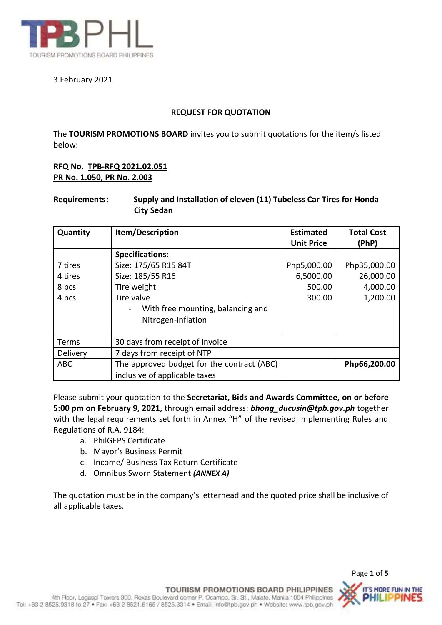

# 3 February 2021

## **REQUEST FOR QUOTATION**

The **TOURISM PROMOTIONS BOARD** invites you to submit quotations for the item/s listed below:

# **RFQ No. TPB-RFQ 2021.02.051 PR No. 1.050, PR No. 2.003**

# **Requirements: Supply and Installation of eleven (11) Tubeless Car Tires for Honda City Sedan**

| Quantity   | Item/Description                           | <b>Estimated</b><br><b>Unit Price</b> | <b>Total Cost</b><br>(PhP) |
|------------|--------------------------------------------|---------------------------------------|----------------------------|
|            | <b>Specifications:</b>                     |                                       |                            |
| 7 tires    | Size: 175/65 R15 84T                       | Php5,000.00                           | Php35,000.00               |
| 4 tires    | Size: 185/55 R16                           | 6,5000.00                             | 26,000.00                  |
| 8 pcs      | Tire weight                                | 500.00                                | 4,000.00                   |
| 4 pcs      | Tire valve                                 | 300.00                                | 1,200.00                   |
|            | With free mounting, balancing and          |                                       |                            |
|            | Nitrogen-inflation                         |                                       |                            |
|            |                                            |                                       |                            |
| Terms      | 30 days from receipt of Invoice            |                                       |                            |
| Delivery   | 7 days from receipt of NTP                 |                                       |                            |
| <b>ABC</b> | The approved budget for the contract (ABC) |                                       | Php66,200.00               |
|            | inclusive of applicable taxes              |                                       |                            |

Please submit your quotation to the **Secretariat, Bids and Awards Committee, on or before 5:00 pm on February 9, 2021,** through email address: *bhong\_ducusin@tpb.gov.ph* together with the legal requirements set forth in Annex "H" of the revised Implementing Rules and Regulations of R.A. 9184:

- a. PhilGEPS Certificate
- b. Mayor's Business Permit
- c. Income/ Business Tax Return Certificate
- d. Omnibus Sworn Statement *(ANNEX A)*

The quotation must be in the company's letterhead and the quoted price shall be inclusive of all applicable taxes.



Page **1** of **5**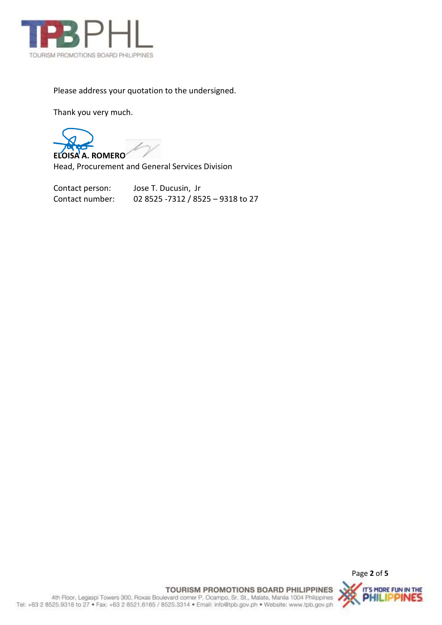

Please address your quotation to the undersigned.

Thank you very much.

**ELOISA A. ROMERO**

Head, Procurement and General Services Division

Contact person: Jose T. Ducusin, Jr Contact number: 02 8525 -7312 / 8525 – 9318 to 27



TOURISM PROMOTIONS BOARD PHILIPPINES IT'S MORE FUN IN THE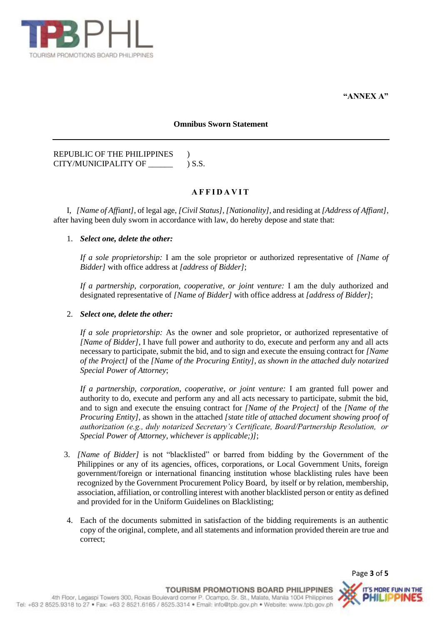

**"ANNEX A"**

#### **Omnibus Sworn Statement**

## REPUBLIC OF THE PHILIPPINES ) CITY/MUNICIPALITY OF \_\_\_\_\_\_\_\_\_\_ ) S.S.

## **A F F I D A V I T**

I, *[Name of Affiant]*, of legal age, *[Civil Status]*, *[Nationality]*, and residing at *[Address of Affiant]*, after having been duly sworn in accordance with law, do hereby depose and state that:

## 1. *Select one, delete the other:*

*If a sole proprietorship:* I am the sole proprietor or authorized representative of *[Name of Bidder]* with office address at *[address of Bidder]*;

*If a partnership, corporation, cooperative, or joint venture:* I am the duly authorized and designated representative of *[Name of Bidder]* with office address at *[address of Bidder]*;

### 2. *Select one, delete the other:*

*If a sole proprietorship:* As the owner and sole proprietor, or authorized representative of *[Name of Bidder]*, I have full power and authority to do, execute and perform any and all acts necessary to participate, submit the bid, and to sign and execute the ensuing contract for *[Name of the Project]* of the *[Name of the Procuring Entity], as shown in the attached duly notarized Special Power of Attorney*;

*If a partnership, corporation, cooperative, or joint venture:* I am granted full power and authority to do, execute and perform any and all acts necessary to participate, submit the bid, and to sign and execute the ensuing contract for *[Name of the Project]* of the *[Name of the Procuring Entity],* as shown in the attached *[state title of attached document showing proof of authorization (e.g., duly notarized Secretary's Certificate, Board/Partnership Resolution, or Special Power of Attorney, whichever is applicable;)]*;

- 3. *[Name of Bidder]* is not "blacklisted" or barred from bidding by the Government of the Philippines or any of its agencies, offices, corporations, or Local Government Units, foreign government/foreign or international financing institution whose blacklisting rules have been recognized by the Government Procurement Policy Board, by itself or by relation, membership, association, affiliation, or controlling interest with another blacklisted person or entity as defined and provided for in the Uniform Guidelines on Blacklisting;
- 4. Each of the documents submitted in satisfaction of the bidding requirements is an authentic copy of the original, complete, and all statements and information provided therein are true and correct;

Page **3** of **5**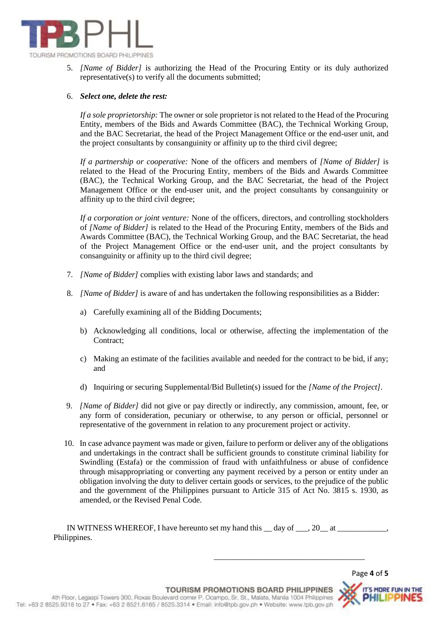

5. *[Name of Bidder]* is authorizing the Head of the Procuring Entity or its duly authorized representative(s) to verify all the documents submitted;

#### 6. *Select one, delete the rest:*

*If a sole proprietorship:* The owner or sole proprietor is not related to the Head of the Procuring Entity, members of the Bids and Awards Committee (BAC), the Technical Working Group, and the BAC Secretariat, the head of the Project Management Office or the end-user unit, and the project consultants by consanguinity or affinity up to the third civil degree;

*If a partnership or cooperative:* None of the officers and members of *[Name of Bidder]* is related to the Head of the Procuring Entity, members of the Bids and Awards Committee (BAC), the Technical Working Group, and the BAC Secretariat, the head of the Project Management Office or the end-user unit, and the project consultants by consanguinity or affinity up to the third civil degree;

*If a corporation or joint venture:* None of the officers, directors, and controlling stockholders of *[Name of Bidder]* is related to the Head of the Procuring Entity, members of the Bids and Awards Committee (BAC), the Technical Working Group, and the BAC Secretariat, the head of the Project Management Office or the end-user unit, and the project consultants by consanguinity or affinity up to the third civil degree;

- 7. *[Name of Bidder]* complies with existing labor laws and standards; and
- 8. *[Name of Bidder]* is aware of and has undertaken the following responsibilities as a Bidder:
	- a) Carefully examining all of the Bidding Documents;
	- b) Acknowledging all conditions, local or otherwise, affecting the implementation of the Contract;
	- c) Making an estimate of the facilities available and needed for the contract to be bid, if any; and
	- d) Inquiring or securing Supplemental/Bid Bulletin(s) issued for the *[Name of the Project]*.
- 9. *[Name of Bidder]* did not give or pay directly or indirectly, any commission, amount, fee, or any form of consideration, pecuniary or otherwise, to any person or official, personnel or representative of the government in relation to any procurement project or activity.
- 10. In case advance payment was made or given, failure to perform or deliver any of the obligations and undertakings in the contract shall be sufficient grounds to constitute criminal liability for Swindling (Estafa) or the commission of fraud with unfaithfulness or abuse of confidence through misappropriating or converting any payment received by a person or entity under an obligation involving the duty to deliver certain goods or services, to the prejudice of the public and the government of the Philippines pursuant to Article 315 of Act No. 3815 s. 1930, as amended, or the Revised Penal Code.

IN WITNESS WHEREOF, I have hereunto set my hand this  $\_\_$  day of  $\_\_$ , 20 $\_\_$  at  $\_\_$ Philippines.

\_\_\_\_\_\_\_\_\_\_\_\_\_\_\_\_\_\_\_\_\_\_\_\_\_\_\_\_\_\_\_\_\_\_\_\_\_

Page **4** of **5**